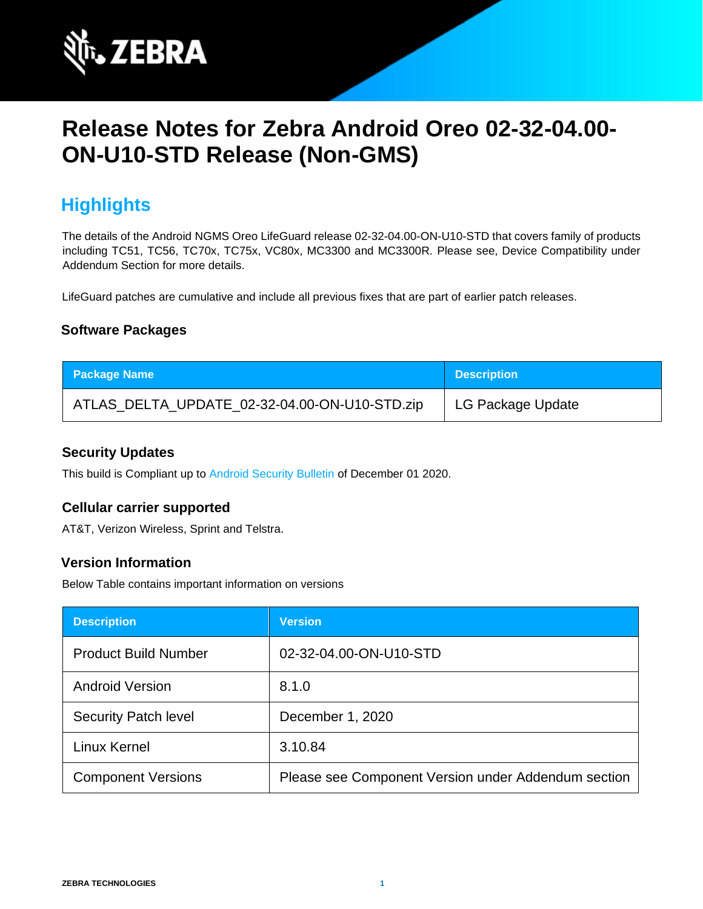

# **Release Notes for Zebra Android Oreo 02-32-04.00- ON-U10-STD Release (Non-GMS)**

## **Highlights**

The details of the Android NGMS Oreo LifeGuard release 02-32-04.00-ON-U10-STD that covers family of products including TC51, TC56, TC70x, TC75x, VC80x, MC3300 and MC3300R. Please see, Device Compatibility under Addendum Section for more details.

LifeGuard patches are cumulative and include all previous fixes that are part of earlier patch releases.

### **Software Packages**

| <b>Package Name</b>                           | <b>Description</b> |
|-----------------------------------------------|--------------------|
| ATLAS_DELTA_UPDATE_02-32-04.00-ON-U10-STD.zip | LG Package Update  |

#### **Security Updates**

This build is Compliant up to [Android Security Bulletin](https://source.android.com/security/bulletin/) of December 01 2020.

#### **Cellular carrier supported**

AT&T, Verizon Wireless, Sprint and Telstra.

#### **Version Information**

Below Table contains important information on versions

| <b>Description</b>          | <b>Version</b>                                      |
|-----------------------------|-----------------------------------------------------|
| <b>Product Build Number</b> | 02-32-04.00-ON-U10-STD                              |
| <b>Android Version</b>      | 8.1.0                                               |
| <b>Security Patch level</b> | December 1, 2020                                    |
| Linux Kernel                | 3.10.84                                             |
| <b>Component Versions</b>   | Please see Component Version under Addendum section |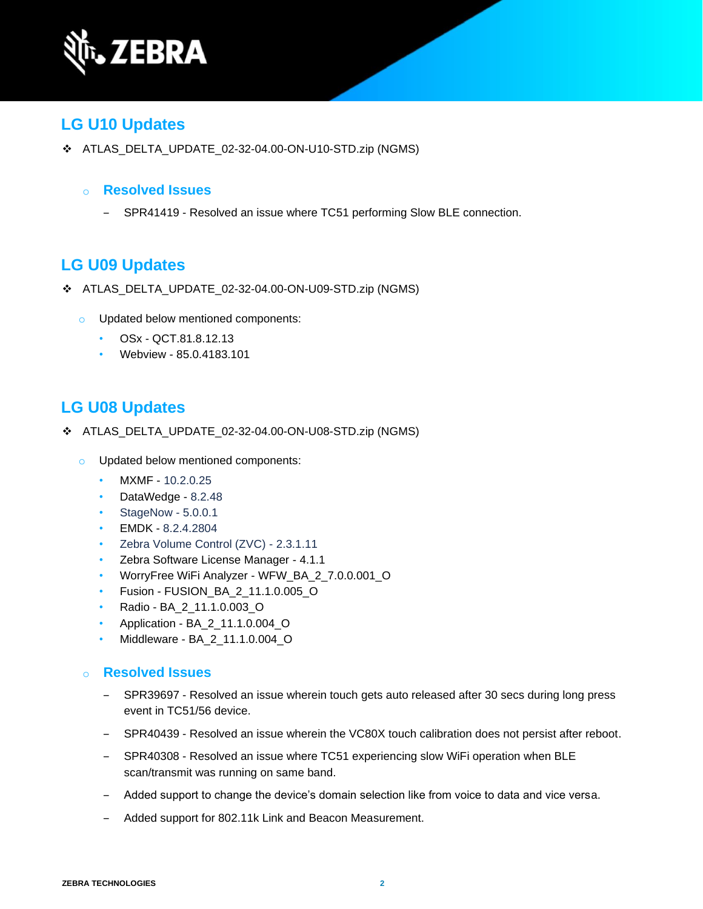

## **LG U10 Updates**

❖ ATLAS\_DELTA\_UPDATE\_02-32-04.00-ON-U10-STD.zip (NGMS)

#### o **Resolved Issues**

- SPR41419 - Resolved an issue where TC51 performing Slow BLE connection.

## **LG U09 Updates**

- ❖ ATLAS\_DELTA\_UPDATE\_02-32-04.00-ON-U09-STD.zip (NGMS)
	- o Updated below mentioned components:
		- OSx QCT.81.8.12.13
		- Webview 85.0.4183.101

## **LG U08 Updates**

- ❖ ATLAS\_DELTA\_UPDATE\_02-32-04.00-ON-U08-STD.zip (NGMS)
	- o Updated below mentioned components:
		- MXMF 10.2.0.25
		- DataWedge 8.2.48
		- StageNow 5.0.0.1
		- EMDK 8.2.4.2804
		- Zebra Volume Control (ZVC) 2.3.1.11
		- Zebra Software License Manager 4.1.1
		- WorryFree WiFi Analyzer WFW\_BA\_2\_7.0.0.001\_O
		- Fusion FUSION\_BA\_2\_11.1.0.005\_O
		- Radio BA\_2\_11.1.0.003\_O
		- Application BA\_2\_11.1.0.004\_O
		- Middleware BA\_2\_11.1.0.004\_O

### o **Resolved Issues**

- ‒ SPR39697 Resolved an issue wherein touch gets auto released after 30 secs during long press event in TC51/56 device.
- ‒ SPR40439 Resolved an issue wherein the VC80X touch calibration does not persist after reboot.
- ‒ SPR40308 Resolved an issue where TC51 experiencing slow WiFi operation when BLE scan/transmit was running on same band.
- ‒ Added support to change the device's domain selection like from voice to data and vice versa.
- ‒ Added support for 802.11k Link and Beacon Measurement.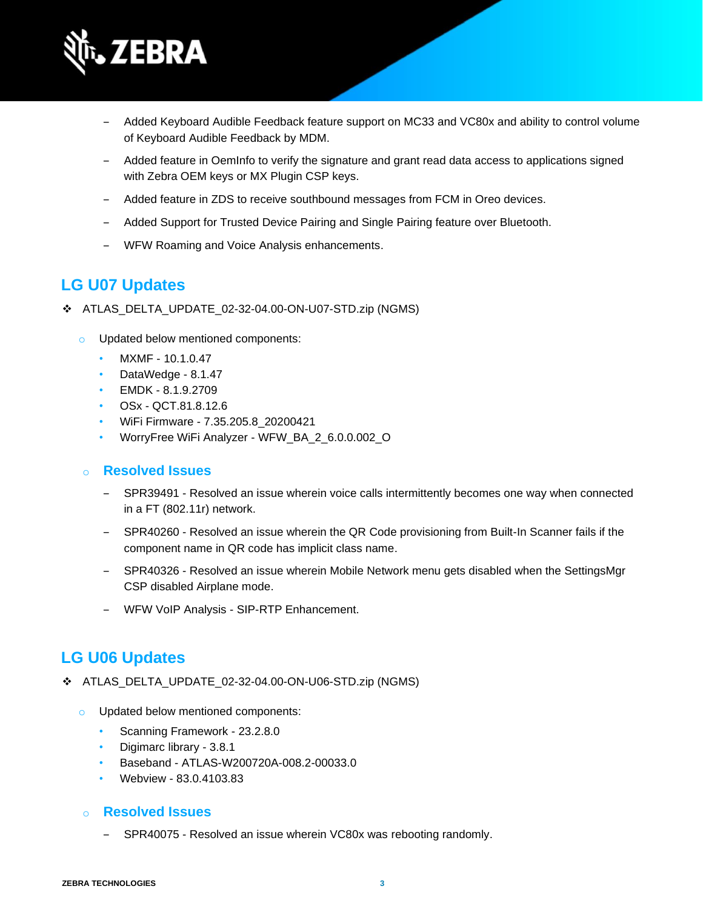

- ‒ Added Keyboard Audible Feedback feature support on MC33 and VC80x and ability to control volume of Keyboard Audible Feedback by MDM.
- ‒ Added feature in OemInfo to verify the signature and grant read data access to applications signed with Zebra OEM keys or MX Plugin CSP keys.
- ‒ Added feature in ZDS to receive southbound messages from FCM in Oreo devices.
- ‒ Added Support for Trusted Device Pairing and Single Pairing feature over Bluetooth.
- ‒ WFW Roaming and Voice Analysis enhancements.

## **LG U07 Updates**

- ❖ ATLAS\_DELTA\_UPDATE\_02-32-04.00-ON-U07-STD.zip (NGMS)
	- o Updated below mentioned components:
		- MXMF 10.1.0.47
		- DataWedge 8.1.47
		- EMDK 8.1.9.2709
		- OSx QCT.81.8.12.6
		- WiFi Firmware 7.35.205.8\_20200421
		- WorryFree WiFi Analyzer WFW\_BA\_2\_6.0.0.002\_O

### o **Resolved Issues**

- ‒ SPR39491 Resolved an issue wherein voice calls intermittently becomes one way when connected in a FT (802.11r) network.
- ‒ SPR40260 Resolved an issue wherein the QR Code provisioning from Built-In Scanner fails if the component name in QR code has implicit class name.
- ‒ SPR40326 Resolved an issue wherein Mobile Network menu gets disabled when the SettingsMgr CSP disabled Airplane mode.
- WFW VoIP Analysis SIP-RTP Enhancement.

## **LG U06 Updates**

- ❖ ATLAS\_DELTA\_UPDATE\_02-32-04.00-ON-U06-STD.zip (NGMS)
	- o Updated below mentioned components:
		- Scanning Framework 23.2.8.0
		- Digimarc library 3.8.1
		- Baseband ATLAS-W200720A-008.2-00033.0
		- Webview 83.0.4103.83

### o **Resolved Issues**

SPR40075 - Resolved an issue wherein VC80x was rebooting randomly.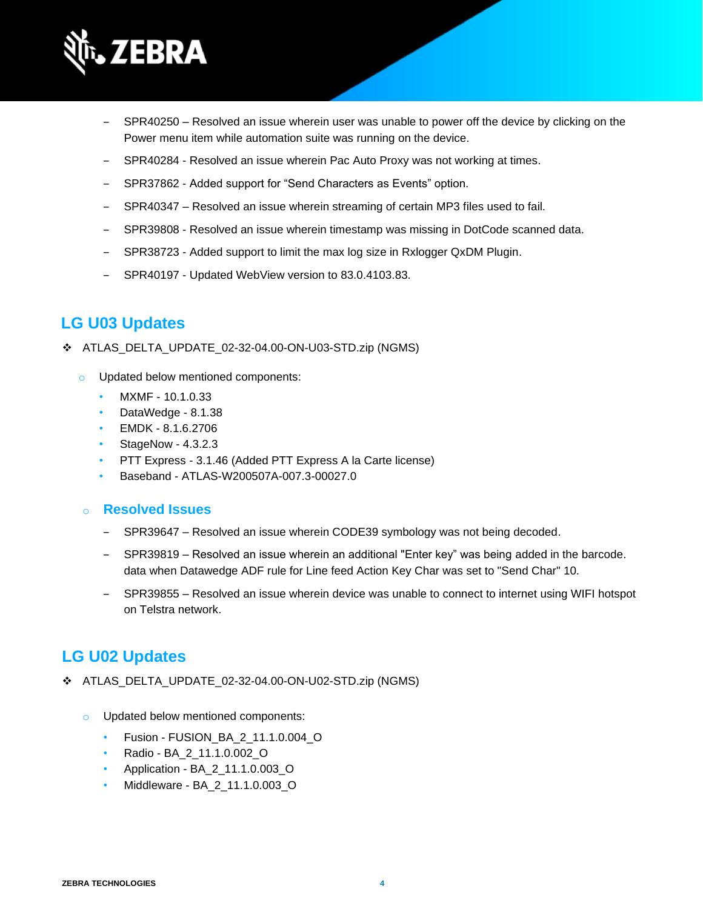

- SPR40250 Resolved an issue wherein user was unable to power off the device by clicking on the Power menu item while automation suite was running on the device.
- SPR40284 Resolved an issue wherein Pac Auto Proxy was not working at times.
- SPR37862 Added support for "Send Characters as Events" option.
- ‒ SPR40347 Resolved an issue wherein streaming of certain MP3 files used to fail.
- ‒ SPR39808 Resolved an issue wherein timestamp was missing in DotCode scanned data.
- SPR38723 Added support to limit the max log size in Rxlogger QxDM Plugin.
- SPR40197 Updated WebView version to 83.0.4103.83.

## **LG U03 Updates**

- ❖ ATLAS\_DELTA\_UPDATE\_02-32-04.00-ON-U03-STD.zip (NGMS)
	- o Updated below mentioned components:
		- MXMF 10.1.0.33
		- DataWedge 8.1.38
		- EMDK 8.1.6.2706
		- StageNow 4.3.2.3
		- PTT Express 3.1.46 (Added PTT Express A la Carte license)
		- Baseband ATLAS-W200507A-007.3-00027.0

o **Resolved Issues** 

- SPR39647 Resolved an issue wherein CODE39 symbology was not being decoded.
- ‒ SPR39819 Resolved an issue wherein an additional "Enter key" was being added in the barcode. data when Datawedge ADF rule for Line feed Action Key Char was set to "Send Char" 10.
- ‒ SPR39855 Resolved an issue wherein device was unable to connect to internet using WIFI hotspot on Telstra network.

### **LG U02 Updates**

- ❖ ATLAS\_DELTA\_UPDATE\_02-32-04.00-ON-U02-STD.zip (NGMS)
	- o Updated below mentioned components:
		- Fusion FUSION\_BA\_2\_11.1.0.004\_O
		- Radio BA\_2\_11.1.0.002\_O
		- Application BA\_2\_11.1.0.003\_O
		- Middleware BA\_2\_11.1.0.003\_O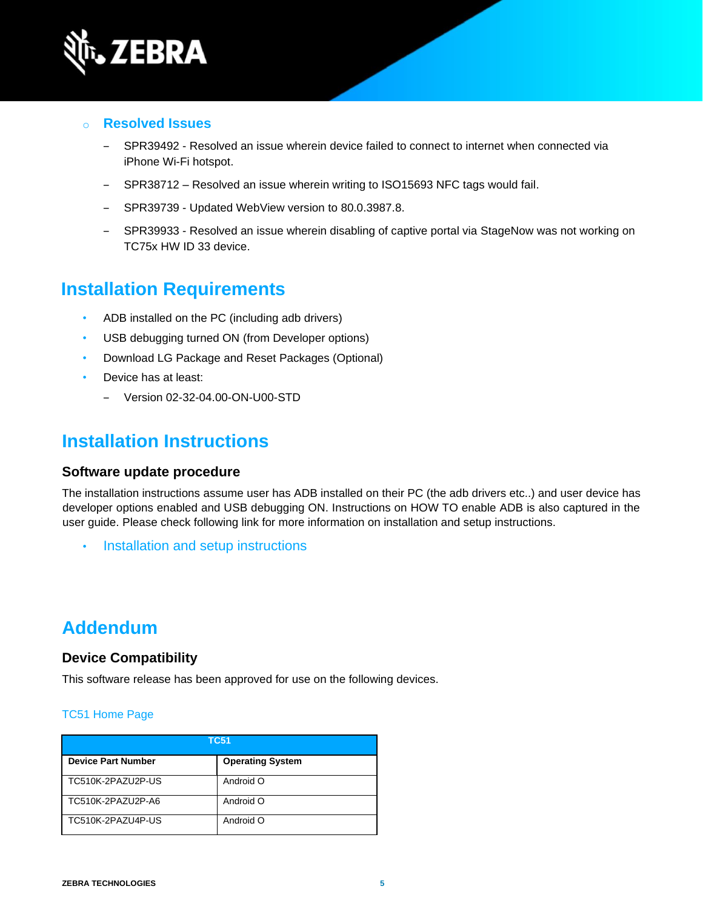

- o **Resolved Issues** 
	- SPR39492 Resolved an issue wherein device failed to connect to internet when connected via iPhone Wi-Fi hotspot.
	- ‒ SPR38712 Resolved an issue wherein writing to ISO15693 NFC tags would fail.
	- SPR39739 Updated WebView version to 80.0.3987.8.
	- ‒ SPR39933 Resolved an issue wherein disabling of captive portal via StageNow was not working on TC75x HW ID 33 device.

## **Installation Requirements**

- ADB installed on the PC (including adb drivers)
- USB debugging turned ON (from Developer options)
- Download LG Package and Reset Packages (Optional)
- Device has at least:
	- ‒ Version 02-32-04.00-ON-U00-STD

## **Installation Instructions**

#### **Software update procedure**

The installation instructions assume user has ADB installed on their PC (the adb drivers etc..) and user device has developer options enabled and USB debugging ON. Instructions on HOW TO enable ADB is also captured in the user guide. Please check following link for more information on installation and setup instructions.

• [Installation and setup instructions](https://www.zebra.com/content/dam/zebra_new_ia/en-us/software/operating-system/tc5x-tc7x-shared-operating-system/atlas_oreo-os-update-instructions.pdf)

## **Addendum**

#### **Device Compatibility**

This software release has been approved for use on the following devices.

#### [TC51 Home Page](https://www.zebra.com/us/en/support-downloads/mobile-computers/handheld/tc51.html)

| <b>TC51</b>               |                         |
|---------------------------|-------------------------|
| <b>Device Part Number</b> | <b>Operating System</b> |
| TC510K-2PAZU2P-US         | Android O               |
| TC510K-2PAZU2P-A6         | Android O               |
| TC510K-2PAZU4P-US         | Android O               |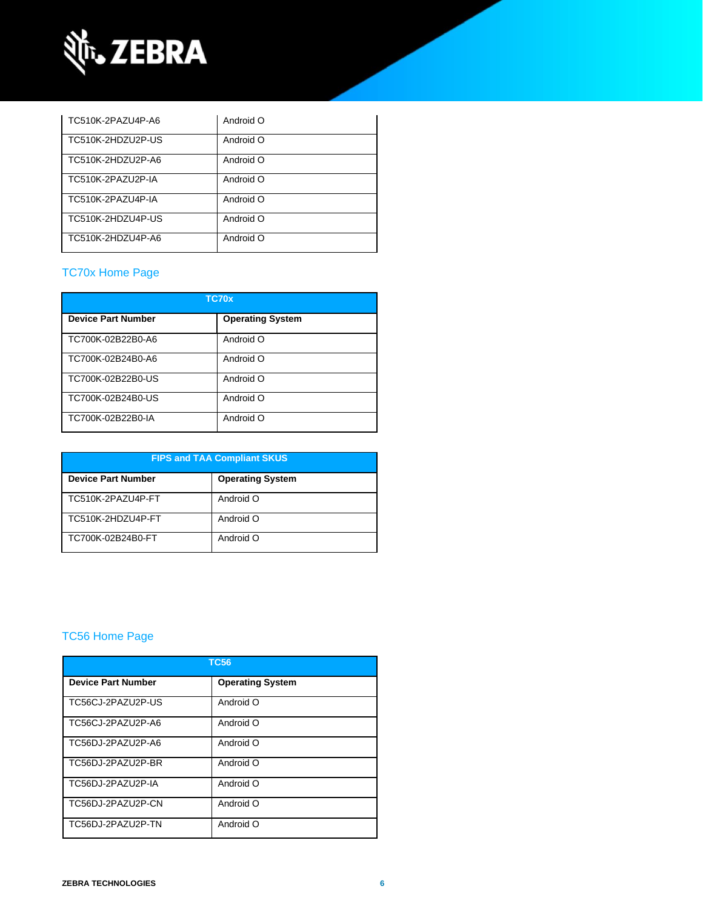

| TC510K-2PAZU4P-A6 | Android O |
|-------------------|-----------|
| TC510K-2HDZU2P-US | Android O |
| TC510K-2HDZU2P-A6 | Android O |
| TC510K-2PAZU2P-IA | Android O |
| TC510K-2PAZU4P-IA | Android O |
| TC510K-2HDZU4P-US | Android O |
| TC510K-2HDZU4P-A6 | Android O |

### [TC70x Home Page](https://www.zebra.com/us/en/support-downloads/mobile-computers/handheld/tc70x.html)

| TC70x                     |                         |  |
|---------------------------|-------------------------|--|
| <b>Device Part Number</b> | <b>Operating System</b> |  |
| TC700K-02B22B0-A6         | Android O               |  |
| TC700K-02B24B0-A6         | Android O               |  |
| TC700K-02B22B0-US         | Android O               |  |
| TC700K-02B24B0-US         | Android O               |  |
| TC700K-02B22B0-IA         | Android O               |  |

| <b>FIPS and TAA Compliant SKUS</b> |                         |  |
|------------------------------------|-------------------------|--|
| <b>Device Part Number</b>          | <b>Operating System</b> |  |
| TC510K-2PAZU4P-FT                  | Android O               |  |
| TC510K-2HDZU4P-FT                  | Android O               |  |
| TC700K-02B24B0-FT                  | Android O               |  |

### [TC56 Home Page](https://www.zebra.com/us/en/support-downloads/mobile-computers/handheld/tc56.html)

| <b>TC56</b>               |                         |  |
|---------------------------|-------------------------|--|
| <b>Device Part Number</b> | <b>Operating System</b> |  |
| TC56CJ-2PAZU2P-US         | Android O               |  |
| TC56CJ-2PAZU2P-A6         | Android O               |  |
| TC56DJ-2PAZU2P-A6         | Android O               |  |
| TC56DJ-2PAZU2P-BR         | Android O               |  |
| TC56DJ-2PAZU2P-IA         | Android O               |  |
| TC56DJ-2PAZU2P-CN         | Android O               |  |
| TC56DJ-2PAZU2P-TN         | Android O               |  |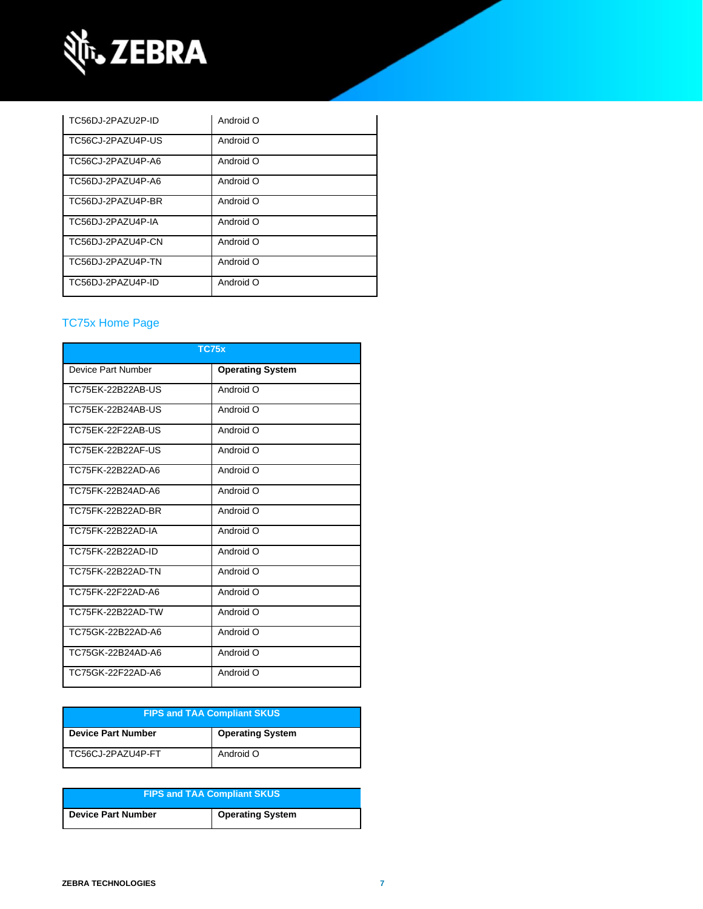

| TC56DJ-2PAZU2P-ID | Android O |
|-------------------|-----------|
| TC56CJ-2PAZU4P-US | Android O |
| TC56CJ-2PAZU4P-A6 | Android O |
| TC56DJ-2PAZU4P-A6 | Android O |
| TC56DJ-2PAZU4P-BR | Android O |
| TC56DJ-2PAZU4P-IA | Android O |
| TC56DJ-2PAZU4P-CN | Android O |
| TC56DJ-2PAZU4P-TN | Android O |
| TC56DJ-2PAZU4P-ID | Android O |

### [TC75x Home Page](https://www.zebra.com/us/en/support-downloads/mobile-computers/handheld/tc75x.html)

| <b>TC75x</b>       |                         |  |
|--------------------|-------------------------|--|
| Device Part Number | <b>Operating System</b> |  |
| TC75EK-22B22AB-US  | Android O               |  |
| TC75EK-22B24AB-US  | Android O               |  |
| TC75EK-22F22AB-US  | Android O               |  |
| TC75EK-22B22AF-US  | Android O               |  |
| TC75FK-22B22AD-A6  | Android O               |  |
| TC75FK-22B24AD-A6  | Android O               |  |
| TC75FK-22B22AD-BR  | Android O               |  |
| TC75FK-22B22AD-IA  | Android O               |  |
| TC75FK-22B22AD-ID  | Android O               |  |
| TC75FK-22B22AD-TN  | Android O               |  |
| TC75FK-22F22AD-A6  | Android O               |  |
| TC75FK-22B22AD-TW  | Android O               |  |
| TC75GK-22B22AD-A6  | Android O               |  |
| TC75GK-22B24AD-A6  | Android O               |  |
| TC75GK-22F22AD-A6  | Android O               |  |

| <b>FIPS and TAA Compliant SKUS</b> |                         |
|------------------------------------|-------------------------|
| <b>Device Part Number</b>          | <b>Operating System</b> |
| TC56CJ-2PAZU4P-FT                  | Android O               |

| <b>FIPS and TAA Compliant SKUS</b> |                         |  |
|------------------------------------|-------------------------|--|
| Device Part Number                 | <b>Operating System</b> |  |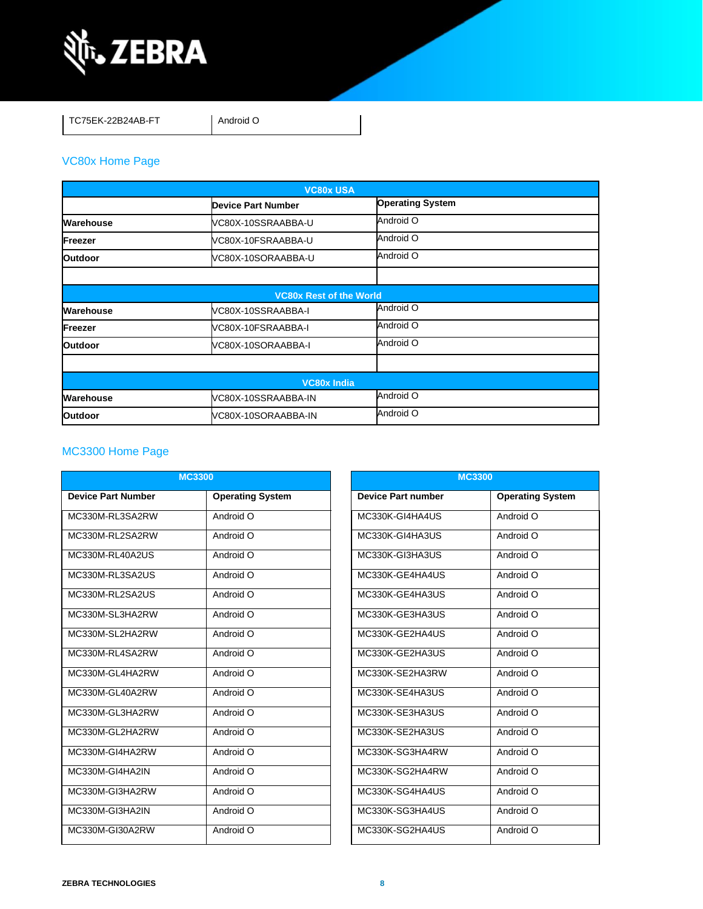

TC75EK-22B24AB-FT Android O

### [VC80x Home Page](https://www.zebra.com/us/en/support-downloads/mobile-computers/vehicle-mounted/vc80x.html)

| <b>VC80x USA</b> |                                |                         |  |
|------------------|--------------------------------|-------------------------|--|
|                  | <b>Device Part Number</b>      | <b>Operating System</b> |  |
| Warehouse        | VC80X-10SSRAABBA-U             | Android O               |  |
| Freezer          | VC80X-10FSRAABBA-U             | Android O               |  |
| <b>Outdoor</b>   | VC80X-10SORAABBA-U             | Android O               |  |
|                  |                                |                         |  |
|                  | <b>VC80x Rest of the World</b> |                         |  |
| Warehouse        | VC80X-10SSRAABBA-I             | Android O               |  |
| Freezer          | VC80X-10FSRAABBA-I             | Android O               |  |
| <b>Outdoor</b>   | VC80X-10SORAABBA-I             | Android O               |  |
|                  |                                |                         |  |
|                  | <b>VC80x India</b>             |                         |  |
| Warehouse        | VC80X-10SSRAABBA-IN            | Android O               |  |
| <b>Outdoor</b>   | VC80X-10SORAABBA-IN            | Android O               |  |

### MC3300 [Home Page](https://www.zebra.com/us/en/support-downloads/mobile-computers/handheld/mc3300.html)

| <b>MC3300</b>             |                         |                           | <b>MC3300</b>           |
|---------------------------|-------------------------|---------------------------|-------------------------|
| <b>Device Part Number</b> | <b>Operating System</b> | <b>Device Part number</b> | <b>Operating System</b> |
| MC330M-RL3SA2RW           | Android O               | MC330K-GI4HA4US           | Android O               |
| MC330M-RL2SA2RW           | Android O               | MC330K-GI4HA3US           | Android O               |
| MC330M-RL40A2US           | Android O               | MC330K-GI3HA3US           | Android O               |
| MC330M-RL3SA2US           | Android O               | MC330K-GE4HA4US           | Android O               |
| MC330M-RL2SA2US           | Android O               | MC330K-GE4HA3US           | Android O               |
| MC330M-SL3HA2RW           | Android O               | MC330K-GE3HA3US           | Android O               |
| MC330M-SL2HA2RW           | Android O               | MC330K-GE2HA4US           | Android O               |
| MC330M-RL4SA2RW           | Android O               | MC330K-GE2HA3US           | Android O               |
| MC330M-GL4HA2RW           | Android O               | MC330K-SE2HA3RW           | Android O               |
| MC330M-GL40A2RW           | Android O               | MC330K-SE4HA3US           | Android O               |
| MC330M-GL3HA2RW           | Android O               | MC330K-SE3HA3US           | Android O               |
| MC330M-GL2HA2RW           | Android O               | MC330K-SE2HA3US           | Android O               |
| MC330M-GI4HA2RW           | Android O               | MC330K-SG3HA4RW           | Android O               |
| MC330M-GI4HA2IN           | Android O               | MC330K-SG2HA4RW           | Android O               |
| MC330M-GI3HA2RW           | Android O               | MC330K-SG4HA4US           | Android O               |
| MC330M-GI3HA2IN           | Android O               | MC330K-SG3HA4US           | Android O               |
| MC330M-GI30A2RW           | Android O               | MC330K-SG2HA4US           | Android O               |

| <b>MC3300</b>             |                         |  |  |
|---------------------------|-------------------------|--|--|
| <b>Device Part number</b> | <b>Operating System</b> |  |  |
| MC330K-GI4HA4US           | Android O               |  |  |
| MC330K-GI4HA3US           | Android O               |  |  |
| MC330K-GI3HA3US           | Android O               |  |  |
| MC330K-GE4HA4US           | Android O               |  |  |
| MC330K-GE4HA3US           | Android O               |  |  |
| MC330K-GE3HA3US           | O bionbnA               |  |  |
| MC330K-GE2HA4US           | Android $\overline{O}$  |  |  |
| MC330K-GE2HA3US           | O hionhnA               |  |  |
| MC330K-SE2HA3RW           | O bionbnA               |  |  |
| MC330K-SE4HA3US           | Android $\overline{O}$  |  |  |
| MC330K-SE3HA3US           | Android O               |  |  |
| MC330K-SE2HA3US           | O hionha A              |  |  |
| MC330K-SG3HA4RW           | O bionbnA               |  |  |
| MC330K-SG2HA4RW           | O bionbnA               |  |  |
| MC330K-SG4HA4US           | Android O               |  |  |
| MC330K-SG3HA4US           | Android O               |  |  |
| MC330K-SG2HA4US           | Android O               |  |  |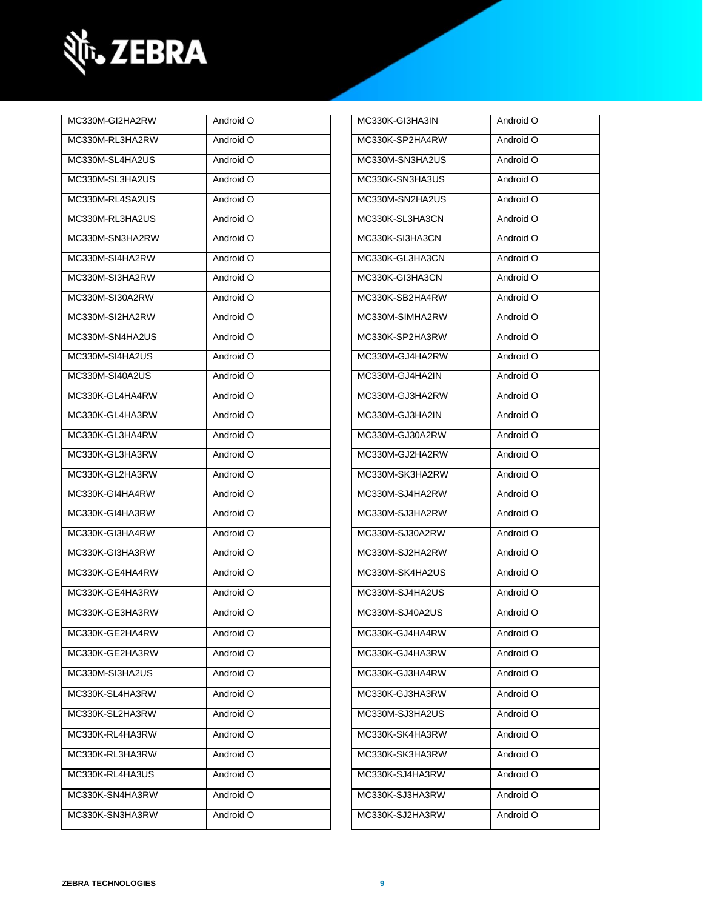

| MC330M-GI2HA2RW | Android O | MC330K-GI3HA3IN | Android O |
|-----------------|-----------|-----------------|-----------|
| MC330M-RL3HA2RW | Android O | MC330K-SP2HA4RW | Android O |
| MC330M-SL4HA2US | Android O | MC330M-SN3HA2US | Android O |
| MC330M-SL3HA2US | Android O | MC330K-SN3HA3US | Android O |
| MC330M-RL4SA2US | Android O | MC330M-SN2HA2US | Android O |
| MC330M-RL3HA2US | Android O | MC330K-SL3HA3CN | Android O |
| MC330M-SN3HA2RW | Android O | MC330K-SI3HA3CN | Android O |
| MC330M-SI4HA2RW | Android O | MC330K-GL3HA3CN | Android O |
| MC330M-SI3HA2RW | Android O | MC330K-GI3HA3CN | Android O |
| MC330M-SI30A2RW | Android O | MC330K-SB2HA4RW | Android O |
| MC330M-SI2HA2RW | Android O | MC330M-SIMHA2RW | Android O |
| MC330M-SN4HA2US | Android O | MC330K-SP2HA3RW | Android O |
| MC330M-SI4HA2US | Android O | MC330M-GJ4HA2RW | Android O |
| MC330M-SI40A2US | Android O | MC330M-GJ4HA2IN | Android O |
| MC330K-GL4HA4RW | Android O | MC330M-GJ3HA2RW | Android O |
| MC330K-GL4HA3RW | Android O | MC330M-GJ3HA2IN | Android O |
| MC330K-GL3HA4RW | Android O | MC330M-GJ30A2RW | Android O |
| MC330K-GL3HA3RW | Android O | MC330M-GJ2HA2RW | Android O |
| MC330K-GL2HA3RW | Android O | MC330M-SK3HA2RW | Android O |
| MC330K-GI4HA4RW | Android O | MC330M-SJ4HA2RW | Android O |
| MC330K-GI4HA3RW | Android O | MC330M-SJ3HA2RW | Android O |
| MC330K-GI3HA4RW | Android O | MC330M-SJ30A2RW | Android O |
| MC330K-GI3HA3RW | Android O | MC330M-SJ2HA2RW | Android O |
| MC330K-GE4HA4RW | Android O | MC330M-SK4HA2US | Android O |
| MC330K-GE4HA3RW | Android O | MC330M-SJ4HA2US | Android O |
| MC330K-GE3HA3RW | Android O | MC330M-SJ40A2US | Android O |
| MC330K-GE2HA4RW | Android O | MC330K-GJ4HA4RW | Android O |
| MC330K-GE2HA3RW | Android O | MC330K-GJ4HA3RW | Android O |
| MC330M-SI3HA2US | Android O | MC330K-GJ3HA4RW | Android O |
| MC330K-SL4HA3RW | Android O | MC330K-GJ3HA3RW | Android O |
| MC330K-SL2HA3RW | Android O | MC330M-SJ3HA2US | Android O |
| MC330K-RL4HA3RW | Android O | MC330K-SK4HA3RW | Android O |
| MC330K-RL3HA3RW | Android O | MC330K-SK3HA3RW | Android O |
| MC330K-RL4HA3US | Android O | MC330K-SJ4HA3RW | Android O |
| MC330K-SN4HA3RW | Android O | MC330K-SJ3HA3RW | Android O |
| MC330K-SN3HA3RW | Android O | MC330K-SJ2HA3RW | Android O |
|                 |           |                 |           |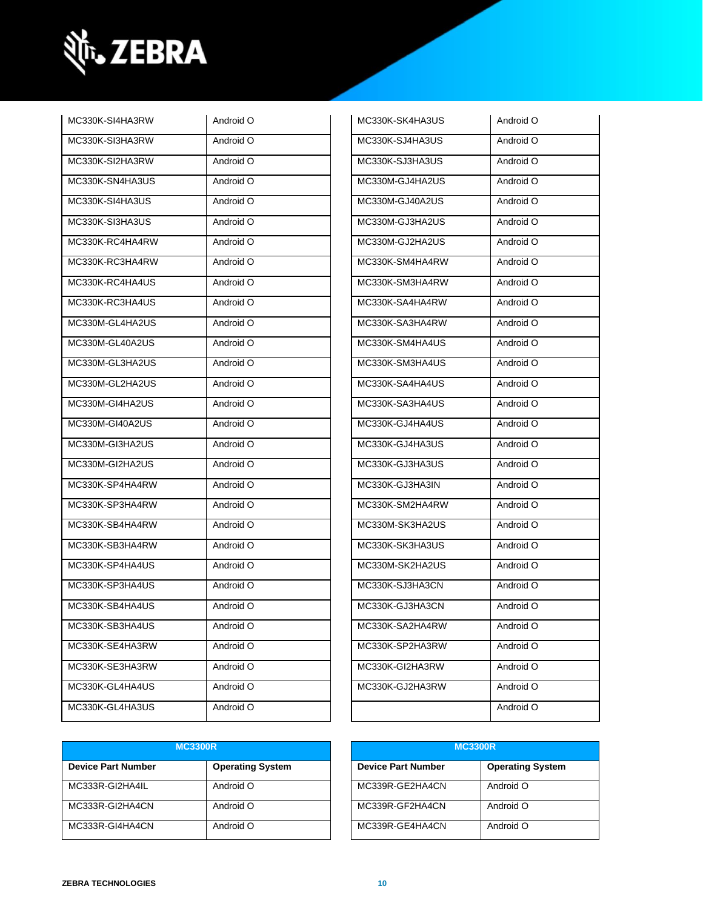

| MC330K-SI4HA3RW | Android O | MC330K-SK4HA3US | Android O |
|-----------------|-----------|-----------------|-----------|
| MC330K-SI3HA3RW | Android O | MC330K-SJ4HA3US | Android O |
| MC330K-SI2HA3RW | Android O | MC330K-SJ3HA3US | Android O |
| MC330K-SN4HA3US | Android O | MC330M-GJ4HA2US | Android O |
| MC330K-SI4HA3US | Android O | MC330M-GJ40A2US | Android O |
| MC330K-SI3HA3US | Android O | MC330M-GJ3HA2US | Android O |
| MC330K-RC4HA4RW | Android O | MC330M-GJ2HA2US | Android O |
| MC330K-RC3HA4RW | Android O | MC330K-SM4HA4RW | Android O |
| MC330K-RC4HA4US | Android O | MC330K-SM3HA4RW | Android O |
| MC330K-RC3HA4US | Android O | MC330K-SA4HA4RW | Android O |
| MC330M-GL4HA2US | Android O | MC330K-SA3HA4RW | Android O |
| MC330M-GL40A2US | Android O | MC330K-SM4HA4US | Android O |
| MC330M-GL3HA2US | Android O | MC330K-SM3HA4US | Android O |
| MC330M-GL2HA2US | Android O | MC330K-SA4HA4US | Android O |
| MC330M-GI4HA2US | Android O | MC330K-SA3HA4US | Android O |
| MC330M-GI40A2US | Android O | MC330K-GJ4HA4US | Android O |
| MC330M-GI3HA2US | Android O | MC330K-GJ4HA3US | Android O |
| MC330M-GI2HA2US | Android O | MC330K-GJ3HA3US | Android O |
| MC330K-SP4HA4RW | Android O | MC330K-GJ3HA3IN | Android O |
| MC330K-SP3HA4RW | Android O | MC330K-SM2HA4RW | Android O |
| MC330K-SB4HA4RW | Android O | MC330M-SK3HA2US | Android O |
| MC330K-SB3HA4RW | Android O | MC330K-SK3HA3US | Android O |
| MC330K-SP4HA4US | Android O | MC330M-SK2HA2US | Android O |
| MC330K-SP3HA4US | Android O | MC330K-SJ3HA3CN | Android O |
| MC330K-SB4HA4US | Android O | MC330K-GJ3HA3CN | Android O |
| MC330K-SB3HA4US | Android O | MC330K-SA2HA4RW | Android O |
| MC330K-SE4HA3RW | Android O | MC330K-SP2HA3RW | Android O |
| MC330K-SE3HA3RW | Android O | MC330K-GI2HA3RW | Android O |
| MC330K-GL4HA4US | Android O | MC330K-GJ2HA3RW | Android O |
| MC330K-GL4HA3US | Android O |                 | Android O |

| MC330K-SK4HA3US | Android O |
|-----------------|-----------|
| MC330K-SJ4HA3US | Android O |
| MC330K-SJ3HA3US | Android O |
| MC330M-GJ4HA2US | Android O |
| MC330M-GJ40A2US | Android O |
| MC330M-GJ3HA2US | Android O |
| MC330M-GJ2HA2US | Android O |
| MC330K-SM4HA4RW | Android O |
| MC330K-SM3HA4RW | Android O |
| MC330K-SA4HA4RW | Android O |
| MC330K-SA3HA4RW | Android O |
| MC330K-SM4HA4US | Android O |
| MC330K-SM3HA4US | Android O |
| MC330K-SA4HA4US | Android O |
| MC330K-SA3HA4US | Android O |
| MC330K-GJ4HA4US | Android O |
| MC330K-GJ4HA3US | Android O |
| MC330K-GJ3HA3US | Android O |
| MC330K-GJ3HA3IN | Android O |
| MC330K-SM2HA4RW | Android O |
| MC330M-SK3HA2US | Android O |
| MC330K-SK3HA3US | Android O |
| MC330M-SK2HA2US | Android O |
| MC330K-SJ3HA3CN | Android O |
| MC330K-GJ3HA3CN | Android O |
| MC330K-SA2HA4RW | Android O |
| MC330K-SP2HA3RW | Android O |
| MC330K-GI2HA3RW | Android O |
| MC330K-GJ2HA3RW | Android O |
|                 | Android O |

| <b>MC3300R</b>            |                         | <b>MC3300R</b>            |                         |
|---------------------------|-------------------------|---------------------------|-------------------------|
| <b>Device Part Number</b> | <b>Operating System</b> | <b>Device Part Number</b> | <b>Operating System</b> |
| MC333R-GI2HA4IL           | Android O               | MC339R-GE2HA4CN           | Android O               |
| MC333R-GI2HA4CN           | Android O               | MC339R-GF2HA4CN           | Android O               |
| MC333R-GI4HA4CN           | Android O               | MC339R-GE4HA4CN           | Android O               |

| <b>MC3300R</b>     |                         |  |
|--------------------|-------------------------|--|
| Device Part Number | <b>Operating System</b> |  |
| MC339R-GE2HA4CN    | Android O               |  |
| MC339R-GF2HA4CN    | Android O               |  |
| MC339R-GE4HA4CN    | Android O               |  |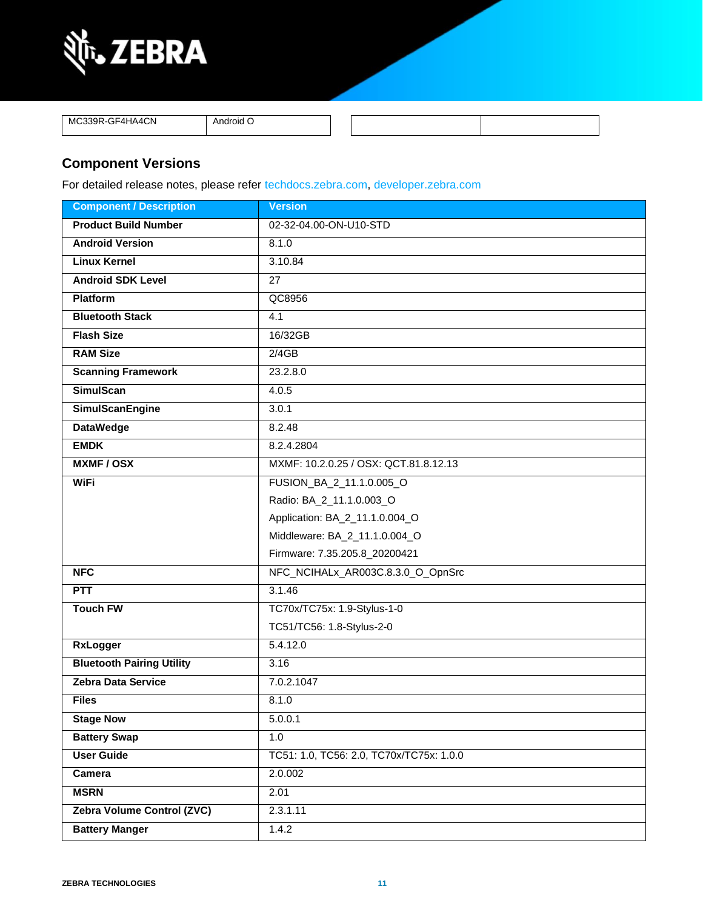

MC339R-GF4HA4CN Android O

### **Component Versions**

For detailed release notes, please refer [techdocs.zebra.com,](https://techdocs.zebra.com/) [developer.zebra.com](https://developer.zebra.com/)

| <b>Component / Description</b>   | <b>Version</b>                           |  |
|----------------------------------|------------------------------------------|--|
| <b>Product Build Number</b>      | 02-32-04.00-ON-U10-STD                   |  |
| <b>Android Version</b>           | 8.1.0                                    |  |
| <b>Linux Kernel</b>              | 3.10.84                                  |  |
| <b>Android SDK Level</b>         | 27                                       |  |
| <b>Platform</b>                  | QC8956                                   |  |
| <b>Bluetooth Stack</b>           | 4.1                                      |  |
| <b>Flash Size</b>                | 16/32GB                                  |  |
| <b>RAM Size</b>                  | 2/4GB                                    |  |
| <b>Scanning Framework</b>        | 23.2.8.0                                 |  |
| <b>SimulScan</b>                 | 4.0.5                                    |  |
| <b>SimulScanEngine</b>           | 3.0.1                                    |  |
| <b>DataWedge</b>                 | 8.2.48                                   |  |
| <b>EMDK</b>                      | 8.2.4.2804                               |  |
| <b>MXMF/OSX</b>                  | MXMF: 10.2.0.25 / OSX: QCT.81.8.12.13    |  |
| <b>WiFi</b>                      | FUSION_BA_2_11.1.0.005_O                 |  |
|                                  | Radio: BA_2_11.1.0.003_O                 |  |
|                                  | Application: BA_2_11.1.0.004_O           |  |
|                                  | Middleware: BA_2_11.1.0.004_O            |  |
|                                  | Firmware: 7.35.205.8_20200421            |  |
| <b>NFC</b>                       | NFC_NCIHALx_AR003C.8.3.0_O_OpnSrc        |  |
| <b>PTT</b>                       | 3.1.46                                   |  |
| <b>Touch FW</b>                  | TC70x/TC75x: 1.9-Stylus-1-0              |  |
|                                  | TC51/TC56: 1.8-Stylus-2-0                |  |
| <b>RxLogger</b>                  | 5.4.12.0                                 |  |
| <b>Bluetooth Pairing Utility</b> | 3.16                                     |  |
| <b>Zebra Data Service</b>        | 7.0.2.1047                               |  |
| <b>Files</b>                     | 8.1.0                                    |  |
| <b>Stage Now</b>                 | 5.0.0.1                                  |  |
| <b>Battery Swap</b>              | 1.0                                      |  |
| <b>User Guide</b>                | TC51: 1.0, TC56: 2.0, TC70x/TC75x: 1.0.0 |  |
| Camera                           | 2.0.002                                  |  |
| <b>MSRN</b>                      | 2.01                                     |  |
| Zebra Volume Control (ZVC)       | 2.3.1.11                                 |  |
| <b>Battery Manger</b>            | 1.4.2                                    |  |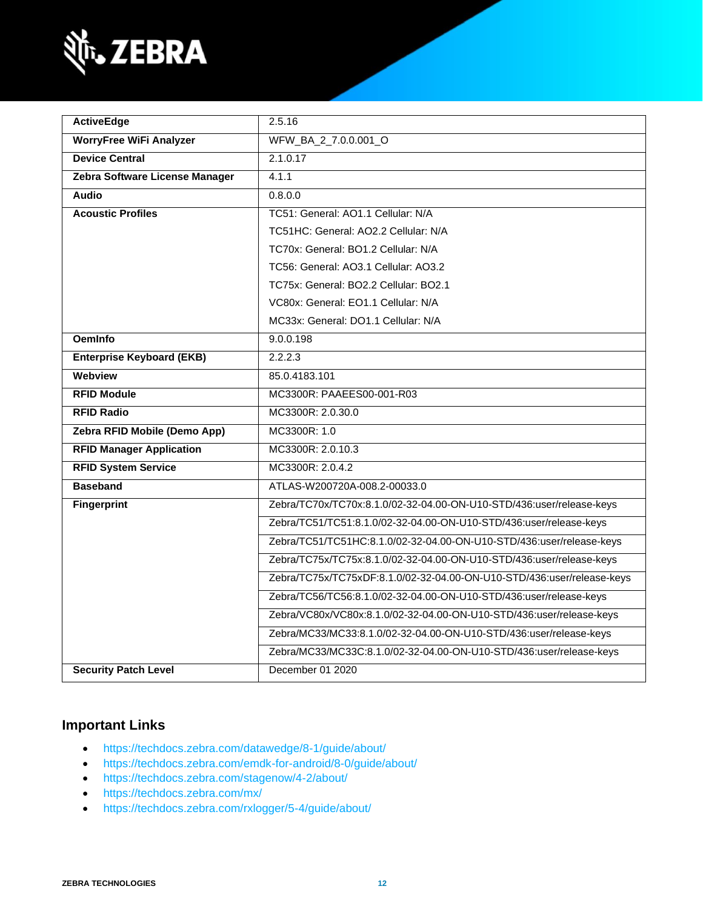

| <b>ActiveEdge</b>                | 2.5.16                                                                 |  |
|----------------------------------|------------------------------------------------------------------------|--|
| <b>WorryFree WiFi Analyzer</b>   | WFW_BA_2_7.0.0.001_O                                                   |  |
| <b>Device Central</b>            | 2.1.0.17                                                               |  |
| Zebra Software License Manager   | 4.1.1                                                                  |  |
| <b>Audio</b>                     | 0.8.0.0                                                                |  |
| <b>Acoustic Profiles</b>         | TC51: General: AO1.1 Cellular: N/A                                     |  |
|                                  | TC51HC: General: AO2.2 Cellular: N/A                                   |  |
|                                  | TC70x: General: BO1.2 Cellular: N/A                                    |  |
|                                  | TC56: General: AO3.1 Cellular: AO3.2                                   |  |
|                                  | TC75x: General: BO2.2 Cellular: BO2.1                                  |  |
|                                  | VC80x: General: EO1.1 Cellular: N/A                                    |  |
|                                  | MC33x: General: DO1.1 Cellular: N/A                                    |  |
| <b>OemInfo</b>                   | 9.0.0.198                                                              |  |
| <b>Enterprise Keyboard (EKB)</b> | 2.2.2.3                                                                |  |
| Webview                          | 85.0.4183.101                                                          |  |
| <b>RFID Module</b>               | MC3300R: PAAEES00-001-R03                                              |  |
| <b>RFID Radio</b>                | MC3300R: 2.0.30.0                                                      |  |
| Zebra RFID Mobile (Demo App)     | MC3300R: 1.0                                                           |  |
| <b>RFID Manager Application</b>  | MC3300R: 2.0.10.3                                                      |  |
| <b>RFID System Service</b>       | MC3300R: 2.0.4.2                                                       |  |
| <b>Baseband</b>                  | ATLAS-W200720A-008.2-00033.0                                           |  |
| <b>Fingerprint</b>               | Zebra/TC70x/TC70x:8.1.0/02-32-04.00-ON-U10-STD/436:user/release-keys   |  |
|                                  | Zebra/TC51/TC51:8.1.0/02-32-04.00-ON-U10-STD/436:user/release-keys     |  |
|                                  | Zebra/TC51/TC51HC:8.1.0/02-32-04.00-ON-U10-STD/436:user/release-keys   |  |
|                                  | Zebra/TC75x/TC75x:8.1.0/02-32-04.00-ON-U10-STD/436:user/release-keys   |  |
|                                  | Zebra/TC75x/TC75xDF:8.1.0/02-32-04.00-ON-U10-STD/436:user/release-keys |  |
|                                  | Zebra/TC56/TC56:8.1.0/02-32-04.00-ON-U10-STD/436:user/release-keys     |  |
|                                  | Zebra/VC80x/VC80x:8.1.0/02-32-04.00-ON-U10-STD/436:user/release-keys   |  |
|                                  | Zebra/MC33/MC33:8.1.0/02-32-04.00-ON-U10-STD/436:user/release-keys     |  |
|                                  | Zebra/MC33/MC33C:8.1.0/02-32-04.00-ON-U10-STD/436:user/release-keys    |  |
| <b>Security Patch Level</b>      | December 01 2020                                                       |  |

### **Important Links**

- <https://techdocs.zebra.com/datawedge/8-1/guide/about/>
- <https://techdocs.zebra.com/emdk-for-android/8-0/guide/about/>
- <https://techdocs.zebra.com/stagenow/4-2/about/>
- <https://techdocs.zebra.com/mx/>
- <https://techdocs.zebra.com/rxlogger/5-4/guide/about/>